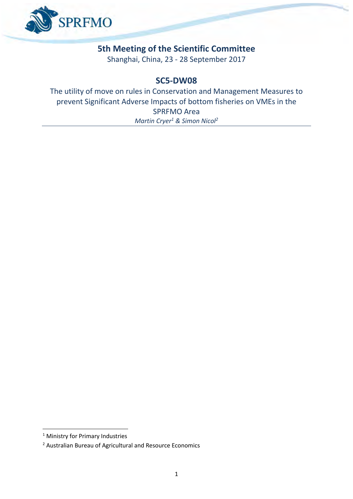

## **5th Meeting of the Scientific Committee**

Shanghai, China, 23 - 28 September 2017

### **SC5-DW08**

The utility of move on rules in Conservation and Management Measures to prevent Significant Adverse Impacts of bottom fisheries on VMEs in the SPRFMO Area *Martin Cryer<sup>1</sup> & Simon Nicol<sup>2</sup>*

1

<sup>&</sup>lt;sup>1</sup> Ministry for Primary Industries

<sup>2</sup> Australian Bureau of Agricultural and Resource Economics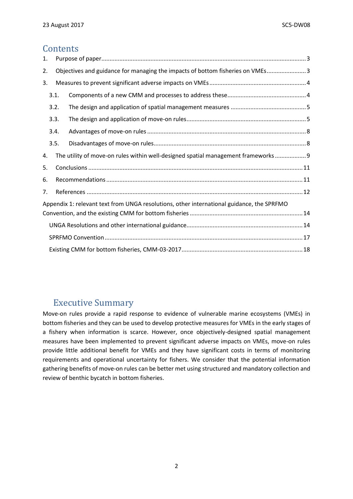## **Contents**

| 1.                                                                                   |                                                                                           |  |                                                                                   |  |  |  |  |  |  |  |
|--------------------------------------------------------------------------------------|-------------------------------------------------------------------------------------------|--|-----------------------------------------------------------------------------------|--|--|--|--|--|--|--|
| Objectives and guidance for managing the impacts of bottom fisheries on VMEs 3<br>2. |                                                                                           |  |                                                                                   |  |  |  |  |  |  |  |
| 3.                                                                                   |                                                                                           |  |                                                                                   |  |  |  |  |  |  |  |
|                                                                                      | 3.1.                                                                                      |  |                                                                                   |  |  |  |  |  |  |  |
| 3.2.                                                                                 |                                                                                           |  |                                                                                   |  |  |  |  |  |  |  |
|                                                                                      | 3.3.                                                                                      |  |                                                                                   |  |  |  |  |  |  |  |
|                                                                                      | 3.4.                                                                                      |  |                                                                                   |  |  |  |  |  |  |  |
|                                                                                      | 3.5.                                                                                      |  |                                                                                   |  |  |  |  |  |  |  |
| 4.                                                                                   |                                                                                           |  | The utility of move-on rules within well-designed spatial management frameworks 9 |  |  |  |  |  |  |  |
| 5.                                                                                   |                                                                                           |  |                                                                                   |  |  |  |  |  |  |  |
|                                                                                      | 6.                                                                                        |  |                                                                                   |  |  |  |  |  |  |  |
|                                                                                      | 7.                                                                                        |  |                                                                                   |  |  |  |  |  |  |  |
|                                                                                      | Appendix 1: relevant text from UNGA resolutions, other international guidance, the SPRFMO |  |                                                                                   |  |  |  |  |  |  |  |
|                                                                                      |                                                                                           |  |                                                                                   |  |  |  |  |  |  |  |
|                                                                                      |                                                                                           |  |                                                                                   |  |  |  |  |  |  |  |
|                                                                                      |                                                                                           |  |                                                                                   |  |  |  |  |  |  |  |
|                                                                                      |                                                                                           |  |                                                                                   |  |  |  |  |  |  |  |

## Executive Summary

Move-on rules provide a rapid response to evidence of vulnerable marine ecosystems (VMEs) in bottom fisheries and they can be used to develop protective measures for VMEs in the early stages of a fishery when information is scarce. However, once objectively-designed spatial management measures have been implemented to prevent significant adverse impacts on VMEs, move-on rules provide little additional benefit for VMEs and they have significant costs in terms of monitoring requirements and operational uncertainty for fishers. We consider that the potential information gathering benefits of move-on rules can be better met using structured and mandatory collection and review of benthic bycatch in bottom fisheries.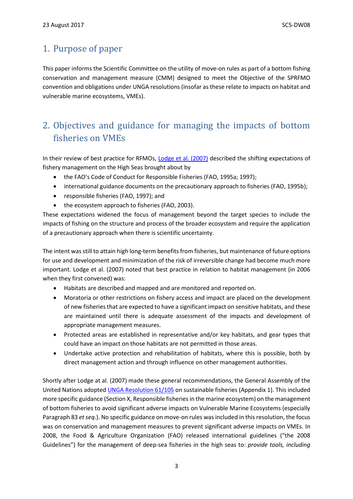## <span id="page-2-0"></span>1. Purpose of paper

This paper informs the Scientific Committee on the utility of move-on rules as part of a bottom fishing conservation and management measure (CMM) designed to meet the Objective of the SPRFMO convention and obligations under UNGA resolutions (insofar as these relate to impacts on habitat and vulnerable marine ecosystems, VMEs).

# <span id="page-2-1"></span>2. Objectives and guidance for managing the impacts of bottom fisheries on VMEs

In their review of best practice for RFMOs, [Lodge et al. \(2007\)](https://www.oecd.org/sd-roundtable/papersandpublications/39374297.pdf) described the shifting expectations of fishery management on the High Seas brought about by

- the FAO's Code of Conduct for Responsible Fisheries (FAO, 1995a; 1997);
- international guidance documents on the precautionary approach to fisheries (FAO, 1995b);
- responsible fisheries (FAO, 1997); and
- the ecosystem approach to fisheries (FAO, 2003).

These expectations widened the focus of management beyond the target species to include the impacts of fishing on the structure and process of the broader ecosystem and require the application of a precautionary approach when there is scientific uncertainty.

The intent was still to attain high long-term benefits from fisheries, but maintenance of future options for use and development and minimization of the risk of irreversible change had become much more important. Lodge et al. (2007) noted that best practice in relation to habitat management (in 2006 when they first convened) was:

- Habitats are described and mapped and are monitored and reported on.
- Moratoria or other restrictions on fishery access and impact are placed on the development of new fisheries that are expected to have a significant impact on sensitive habitats, and these are maintained until there is adequate assessment of the impacts and development of appropriate management measures.
- Protected areas are established in representative and/or key habitats, and gear types that could have an impact on those habitats are not permitted in those areas.
- Undertake active protection and rehabilitation of habitats, where this is possible, both by direct management action and through influence on other management authorities.

Shortly after Lodge at al. (2007) made these general recommendations, the General Assembly of the United Nations adopted [UNGA Resolution 61/105](http://www.un.org/Docs/journal/asp/ws.asp?m=A/RES/61/105) on sustainable fisheries (Appendix 1). This included more specific guidance (Section X, Responsible fisheries in the marine ecosystem) on the management of bottom fisheries to avoid significant adverse impacts on Vulnerable Marine Ecosystems (especially Paragraph 83 *et seq*.). No specific guidance on move-on rules was included in this resolution, the focus was on conservation and management measures to prevent significant adverse impacts on VMEs. In 2008, the Food & Agriculture Organization (FAO) released international guidelines ("the 2008 Guidelines") for the management of deep-sea fisheries in the high seas to: *provide tools, including*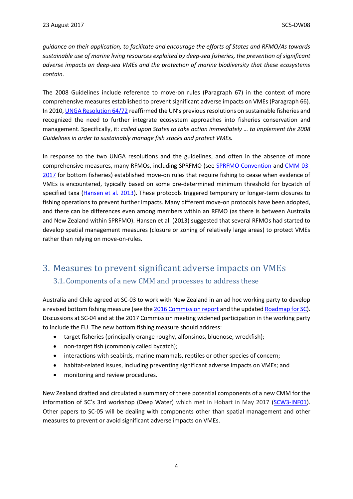*guidance on their application, to facilitate and encourage the efforts of States and RFMO/As towards sustainable use of marine living resources exploited by deep-sea fisheries, the prevention of significant adverse impacts on deep-sea VMEs and the protection of marine biodiversity that these ecosystems contain*.

The 2008 Guidelines include reference to move-on rules (Paragraph 67) in the context of more comprehensive measures established to prevent significant adverse impacts on VMEs (Paragraph 66). In 2010, [UNGA Resolution 64/72](http://www.un.org/Docs/journal/asp/ws.asp?m=A/RES/64/72) reaffirmed the UN's previous resolutions on sustainable fisheries and recognized the need to further integrate ecosystem approaches into fisheries conservation and management. Specifically, it: *called upon States to take action immediately … to implement the 2008 Guidelines in order to sustainably manage fish stocks and protect VMEs.*

In response to the two UNGA resolutions and the guidelines, and often in the absence of more comprehensive measures, many RFMOs, including SPRFMO (see [SPRFMO Convention](http://www.sprfmo.int/assets/Basic-Documents/Convention-web.pdf) and [CMM-03-](http://www.sprfmo.int/assets/Fisheries/Conservation-and-Management-Measures/CMM-03-2017-Bottom-Fishing-27Feb17.pdf) [2017](http://www.sprfmo.int/assets/Fisheries/Conservation-and-Management-Measures/CMM-03-2017-Bottom-Fishing-27Feb17.pdf) for bottom fisheries) established move-on rules that require fishing to cease when evidence of VMEs is encountered, typically based on some pre-determined minimum threshold for bycatch of specified taxa [\(Hansen et al. 2013\)](http://www.sprfmo.int/assets/Meetings/Meetings-2013-plus/SC-Meetings/1st-SC-Meeting-2013/SC-01-09-Identification-of-VMEs-in-the-western-SPRFMO-Area-and-move-on-rules.pdf). These protocols triggered temporary or longer-term closures to fishing operations to prevent further impacts. Many different move-on protocols have been adopted, and there can be differences even among members within an RFMO (as there is between Australia and New Zealand within SPRFMO). Hansen et al. (2013) suggested that several RFMOs had started to develop spatial management measures (closure or zoning of relatively large areas) to protect VMEs rather than relying on move-on-rules.

## <span id="page-3-1"></span><span id="page-3-0"></span>3. Measures to prevent significant adverse impacts on VMEs 3.1. Components of a new CMM and processes to address these

Australia and Chile agreed at SC-03 to work with New Zealand in an ad hoc working party to develop a revised bottom fishing measure (see th[e 2016 Commission report](http://www.sprfmo.int/assets/Meetings/Meetings-2013-plus/Commission-Meetings/4th-Commission-Meeting-2016-Valdivia-Chile/Final-Report-and-Annexes/SPRFMO-4th-Commission-FINAL-REPORT-30Jan2016.pdf) and the update[d Roadmap for SC\)](http://www.sprfmo.int/assets/Meetings/Meetings-2013-plus/Commission-Meetings/3rd-Commission-Meeting-2015-Auckland-New-Zealand/Annex-C-COMM-03-2015-Roadmap-for-the-Scientific-Committee.pdf). Discussions at SC-04 and at the 2017 Commission meeting widened participation in the working party to include the EU. The new bottom fishing measure should address:

- target fisheries (principally orange roughy, alfonsinos, bluenose, wreckfish);
- non-target fish (commonly called bycatch);
- interactions with seabirds, marine mammals, reptiles or other species of concern;
- habitat-related issues, including preventing significant adverse impacts on VMEs; and
- monitoring and review procedures.

New Zealand drafted and circulated a summary of these potential components of a new CMM for the information of SC's 3rd workshop (Deep Water) which met in Hobart in May 2017 [\(SCW3-INF01\)](http://www.sprfmo.int/assets/00-SCW3-DeepWater/SCW3-Inf01-NZ-draft-summary-of-matters-to-consider-in-the-development-of-a-new-bottom-fishing-measure.pdf). Other papers to SC-05 will be dealing with components other than spatial management and other measures to prevent or avoid significant adverse impacts on VMEs.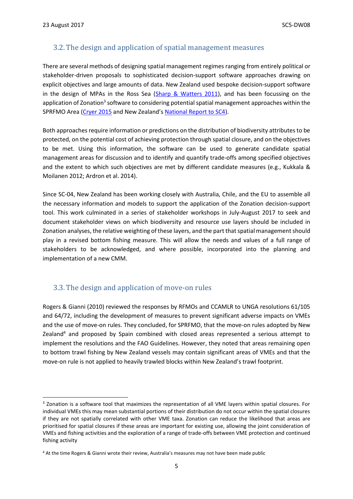**.** 

### <span id="page-4-0"></span>3.2. The design and application of spatial management measures

There are several methods of designing spatial management regimes ranging from entirely political or stakeholder-driven proposals to sophisticated decision-support software approaches drawing on explicit objectives and large amounts of data. New Zealand used bespoke decision-support software in the design of MPAs in the Ross Sea [\(Sharp & Watters 2011\)](http://www.ccamlr.org/en/ws-mpa-11/25), and has been focussing on the application of Zonation<sup>3</sup> software to considering potential spatial management approaches within the SPRFMO Area [\(Cryer 2015](http://www.sprfmo.int/assets/Meetings/Meetings-2013-plus/SC-Meetings/3rd-SC-Meeting-2015/Papers/SC-03-DW-04-VME-spatial-final.pdf) and New Zealand's [National Report to SC4\)](http://www.sprfmo.int/assets/Meetings/Meetings-2013-plus/SC-Meetings/4th-SC-Meeting-2016/SC04-papers/SC-04-17-New-Zealand-Annual-report.pdf).

Both approaches require information or predictions on the distribution of biodiversity attributes to be protected, on the potential cost of achieving protection through spatial closure, and on the objectives to be met. Using this information, the software can be used to generate candidate spatial management areas for discussion and to identify and quantify trade-offs among specified objectives and the extent to which such objectives are met by different candidate measures (e.g., Kukkala & Moilanen 2012; Ardron et al. 2014).

Since SC-04, New Zealand has been working closely with Australia, Chile, and the EU to assemble all the necessary information and models to support the application of the Zonation decision-support tool. This work culminated in a series of stakeholder workshops in July-August 2017 to seek and document stakeholder views on which biodiversity and resource use layers should be included in Zonation analyses, the relative weighting of these layers, and the part that spatial management should play in a revised bottom fishing measure. This will allow the needs and values of a full range of stakeholders to be acknowledged, and where possible, incorporated into the planning and implementation of a new CMM.

### <span id="page-4-1"></span>3.3. The design and application of move-on rules

Rogers & Gianni (2010) reviewed the responses by RFMOs and CCAMLR to UNGA resolutions 61/105 and 64/72, including the development of measures to prevent significant adverse impacts on VMEs and the use of move-on rules. They concluded, for SPRFMO, that the move-on rules adopted by New Zealand<sup>4</sup> and proposed by Spain combined with closed areas represented a serious attempt to implement the resolutions and the FAO Guidelines. However, they noted that areas remaining open to bottom trawl fishing by New Zealand vessels may contain significant areas of VMEs and that the move-on rule is not applied to heavily trawled blocks within New Zealand's trawl footprint.

<sup>&</sup>lt;sup>3</sup> Zonation is a software tool that maximizes the representation of all VME layers within spatial closures. For individual VMEs this may mean substantial portions of their distribution do not occur within the spatial closures if they are not spatially correlated with other VME taxa. Zonation can reduce the likelihood that areas are prioritised for spatial closures if these areas are important for existing use, allowing the joint consideration of VMEs and fishing activities and the exploration of a range of trade-offs between VME protection and continued fishing activity

<sup>4</sup> At the time Rogers & Gianni wrote their review, Australia's measures may not have been made public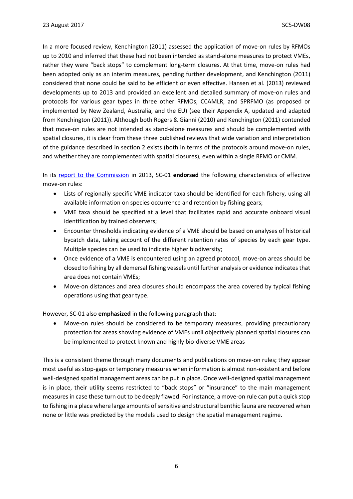In a more focused review, Kenchington (2011) assessed the application of move-on rules by RFMOs up to 2010 and inferred that these had not been intended as stand-alone measures to protect VMEs, rather they were "back stops" to complement long-term closures. At that time, move-on rules had been adopted only as an interim measures, pending further development, and Kenchington (2011) considered that none could be said to be efficient or even effective. Hansen et al. (2013) reviewed developments up to 2013 and provided an excellent and detailed summary of move-on rules and protocols for various gear types in three other RFMOs, CCAMLR, and SPRFMO (as proposed or implemented by New Zealand, Australia, and the EU) (see their Appendix A, updated and adapted from Kenchington (2011)). Although both Rogers & Gianni (2010) and Kenchington (2011) contended that move-on rules are not intended as stand-alone measures and should be complemented with spatial closures, it is clear from these three published reviews that wide variation and interpretation of the guidance described in section 2 exists (both in terms of the protocols around move-on rules, and whether they are complemented with spatial closures), even within a single RFMO or CMM.

In its [report to the Commission](http://www.sprfmo.int/meetings/meeting-archive/scientific-committee/1st-scientific-committee-meeting/) in 2013, SC-01 **endorsed** the following characteristics of effective move-on rules:

- Lists of regionally specific VME indicator taxa should be identified for each fishery, using all available information on species occurrence and retention by fishing gears;
- VME taxa should be specified at a level that facilitates rapid and accurate onboard visual identification by trained observers;
- Encounter thresholds indicating evidence of a VME should be based on analyses of historical bycatch data, taking account of the different retention rates of species by each gear type. Multiple species can be used to indicate higher biodiversity;
- Once evidence of a VME is encountered using an agreed protocol, move-on areas should be closed to fishing by all demersal fishing vessels until further analysis or evidence indicates that area does not contain VMEs;
- Move-on distances and area closures should encompass the area covered by typical fishing operations using that gear type.

However, SC-01 also **emphasized** in the following paragraph that:

• Move-on rules should be considered to be temporary measures, providing precautionary protection for areas showing evidence of VMEs until objectively planned spatial closures can be implemented to protect known and highly bio-diverse VME areas

This is a consistent theme through many documents and publications on move-on rules; they appear most useful as stop-gaps or temporary measures when information is almost non-existent and before well-designed spatial management areas can be put in place. Once well-designed spatial management is in place, their utility seems restricted to "back stops" or "insurance" to the main management measures in case these turn out to be deeply flawed. For instance, a move-on rule can put a quick stop to fishing in a place where large amounts of sensitive and structural benthic fauna are recovered when none or little was predicted by the models used to design the spatial management regime.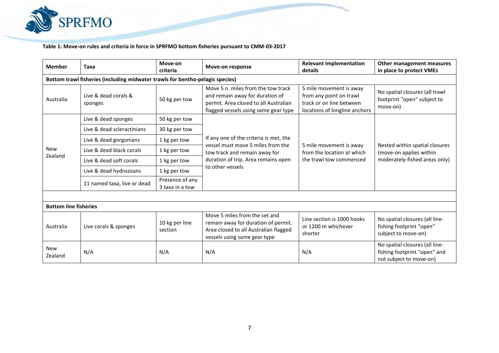

**Table 1: Move-on rules and criteria in force in SPRFMO bottom fisheries pursuant to CMM-03-2017**

| <b>Member</b>                                                                 | Taxa                            | Move-on<br>criteria                | Move-on response                                                                                                                                                        | <b>Relevant implementation</b><br>details                                                                       | Other management measures<br>in place to protect VMEs                                      |  |  |  |  |  |
|-------------------------------------------------------------------------------|---------------------------------|------------------------------------|-------------------------------------------------------------------------------------------------------------------------------------------------------------------------|-----------------------------------------------------------------------------------------------------------------|--------------------------------------------------------------------------------------------|--|--|--|--|--|
| Bottom trawl fisheries (including midwater trawls for bentho-pelagic species) |                                 |                                    |                                                                                                                                                                         |                                                                                                                 |                                                                                            |  |  |  |  |  |
| Australia                                                                     | Live & dead corals &<br>sponges | 50 kg per tow                      | Move 5 n. miles from the tow track<br>and remain away for duration of<br>permit. Area closed to all Australian<br>flagged vessels using same gear type                  | 5 mile movement is away<br>from any point on trawl<br>track or on line between<br>locations of longline anchors | No spatial closures (all trawl<br>footprint "open" subject to<br>move-on)                  |  |  |  |  |  |
|                                                                               | Live & dead sponges             | 50 kg per tow                      | If any one of the criteria is met, the<br>vessel must move 5 miles from the<br>tow track and remain away for<br>duration of trip. Area remains open<br>to other vessels | 5 mile movement is away<br>from the location at which<br>the trawl tow commenced                                | Nested within spatial closures<br>(move-on applies within<br>moderately-fished areas only) |  |  |  |  |  |
|                                                                               | Live & dead scleractinians      | 30 kg per tow                      |                                                                                                                                                                         |                                                                                                                 |                                                                                            |  |  |  |  |  |
|                                                                               | Live & dead gorgonians          | 1 kg per tow                       |                                                                                                                                                                         |                                                                                                                 |                                                                                            |  |  |  |  |  |
| <b>New</b>                                                                    | Live & dead black corals        | 1 kg per tow                       |                                                                                                                                                                         |                                                                                                                 |                                                                                            |  |  |  |  |  |
| Zealand                                                                       | Live & dead soft corals         | 1 kg per tow                       |                                                                                                                                                                         |                                                                                                                 |                                                                                            |  |  |  |  |  |
|                                                                               | Live & dead hydrozoans          | 1 kg per tow                       |                                                                                                                                                                         |                                                                                                                 |                                                                                            |  |  |  |  |  |
|                                                                               | 11 named taxa, live or dead     | Presence of any<br>3 taxa in a tow |                                                                                                                                                                         |                                                                                                                 |                                                                                            |  |  |  |  |  |
|                                                                               |                                 |                                    |                                                                                                                                                                         |                                                                                                                 |                                                                                            |  |  |  |  |  |
| <b>Bottom line fisheries</b>                                                  |                                 |                                    |                                                                                                                                                                         |                                                                                                                 |                                                                                            |  |  |  |  |  |
| Australia                                                                     | Live corals & sponges           | 10 kg per line<br>section          | Move 5 miles from the set and<br>remain away for duration of permit.<br>Area closed to all Australian flagged<br>vessels using same gear type                           | Line section is 1000 hooks<br>or 1200 m whichever<br>shorter                                                    | No spatial closures (all line-<br>fishing footprint "open"<br>subject to move-on)          |  |  |  |  |  |
| <b>New</b><br>Zealand                                                         | N/A                             | N/A                                | N/A                                                                                                                                                                     | N/A                                                                                                             | No spatial closures (all line-<br>fishing footprint "open" and<br>not subject to move-on)  |  |  |  |  |  |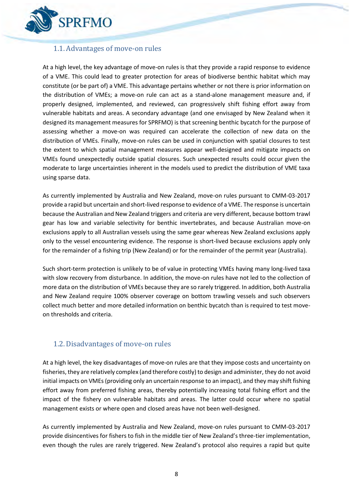

### <span id="page-7-0"></span>1.1.Advantages of move-on rules

At a high level, the key advantage of move-on rules is that they provide a rapid response to evidence of a VME. This could lead to greater protection for areas of biodiverse benthic habitat which may constitute (or be part of) a VME. This advantage pertains whether or not there is prior information on the distribution of VMEs; a move-on rule can act as a stand-alone management measure and, if properly designed, implemented, and reviewed, can progressively shift fishing effort away from vulnerable habitats and areas. A secondary advantage (and one envisaged by New Zealand when it designed its management measures for SPRFMO) is that screening benthic bycatch for the purpose of assessing whether a move-on was required can accelerate the collection of new data on the distribution of VMEs. Finally, move-on rules can be used in conjunction with spatial closures to test the extent to which spatial management measures appear well-designed and mitigate impacts on VMEs found unexpectedly outside spatial closures. Such unexpected results could occur given the moderate to large uncertainties inherent in the models used to predict the distribution of VME taxa using sparse data.

As currently implemented by Australia and New Zealand, move-on rules pursuant to CMM-03-2017 provide a rapid but uncertain and short-lived response to evidence of a VME. The response is uncertain because the Australian and New Zealand triggers and criteria are very different, because bottom trawl gear has low and variable selectivity for benthic invertebrates, and because Australian move-on exclusions apply to all Australian vessels using the same gear whereas New Zealand exclusions apply only to the vessel encountering evidence. The response is short-lived because exclusions apply only for the remainder of a fishing trip (New Zealand) or for the remainder of the permit year (Australia).

Such short-term protection is unlikely to be of value in protecting VMEs having many long-lived taxa with slow recovery from disturbance. In addition, the move-on rules have not led to the collection of more data on the distribution of VMEs because they are so rarely triggered. In addition, both Australia and New Zealand require 100% observer coverage on bottom trawling vessels and such observers collect much better and more detailed information on benthic bycatch than is required to test moveon thresholds and criteria.

### <span id="page-7-1"></span>1.2.Disadvantages of move-on rules

At a high level, the key disadvantages of move-on rules are that they impose costs and uncertainty on fisheries, they are relatively complex (and therefore costly) to design and administer, they do not avoid initial impacts on VMEs(providing only an uncertain response to an impact), and they may shift fishing effort away from preferred fishing areas, thereby potentially increasing total fishing effort and the impact of the fishery on vulnerable habitats and areas. The latter could occur where no spatial management exists or where open and closed areas have not been well-designed.

As currently implemented by Australia and New Zealand, move-on rules pursuant to CMM-03-2017 provide disincentives for fishers to fish in the middle tier of New Zealand's three-tier implementation, even though the rules are rarely triggered. New Zealand's protocol also requires a rapid but quite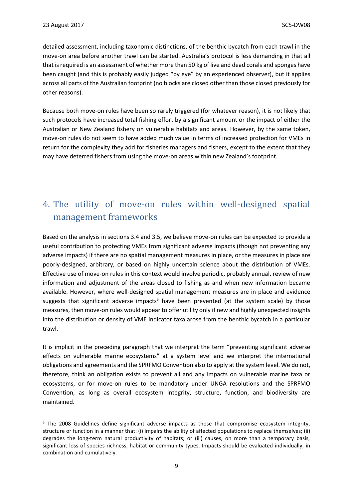$\overline{a}$ 

detailed assessment, including taxonomic distinctions, of the benthic bycatch from each trawl in the move-on area before another trawl can be started. Australia's protocol is less demanding in that all that is required is an assessment of whether more than 50 kg of live and dead corals and sponges have been caught (and this is probably easily judged "by eye" by an experienced observer), but it applies across all parts of the Australian footprint (no blocks are closed other than those closed previously for other reasons).

Because both move-on rules have been so rarely triggered (for whatever reason), it is not likely that such protocols have increased total fishing effort by a significant amount or the impact of either the Australian or New Zealand fishery on vulnerable habitats and areas. However, by the same token, move-on rules do not seem to have added much value in terms of increased protection for VMEs in return for the complexity they add for fisheries managers and fishers, except to the extent that they may have deterred fishers from using the move-on areas within new Zealand's footprint.

# <span id="page-8-0"></span>4. The utility of move-on rules within well-designed spatial management frameworks

Based on the analysis in sections 3.4 and 3.5, we believe move-on rules can be expected to provide a useful contribution to protecting VMEs from significant adverse impacts (though not preventing any adverse impacts) if there are no spatial management measures in place, or the measures in place are poorly-designed, arbitrary, or based on highly uncertain science about the distribution of VMEs. Effective use of move-on rules in this context would involve periodic, probably annual, review of new information and adjustment of the areas closed to fishing as and when new information became available. However, where well-designed spatial management measures are in place and evidence suggests that significant adverse impacts<sup>5</sup> have been prevented (at the system scale) by those measures, then move-on rules would appear to offer utility only if new and highly unexpected insights into the distribution or density of VME indicator taxa arose from the benthic bycatch in a particular trawl.

It is implicit in the preceding paragraph that we interpret the term "preventing significant adverse effects on vulnerable marine ecosystems" at a system level and we interpret the international obligations and agreements and the SPRFMO Convention also to apply at the system level. We do not, therefore, think an obligation exists to prevent all and any impacts on vulnerable marine taxa or ecosystems, or for move-on rules to be mandatory under UNGA resolutions and the SPRFMO Convention, as long as overall ecosystem integrity, structure, function, and biodiversity are maintained.

<sup>&</sup>lt;sup>5</sup> The 2008 Guidelines define significant adverse impacts as those that compromise ecosystem integrity, structure or function in a manner that: (i) impairs the ability of affected populations to replace themselves; (ii) degrades the long-term natural productivity of habitats; or (iii) causes, on more than a temporary basis, significant loss of species richness, habitat or community types. Impacts should be evaluated individually, in combination and cumulatively.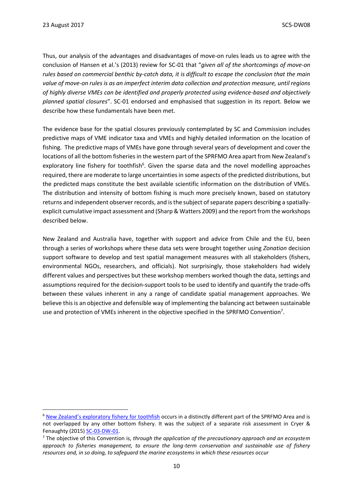<span id="page-9-0"></span>**.** 

Thus, our analysis of the advantages and disadvantages of move-on rules leads us to agree with the conclusion of Hansen et al.'s (2013) review for SC-01 that "*given all of the shortcomings of move-on rules based on commercial benthic by-catch data, it is difficult to escape the conclusion that the main value of move-on rules is as an imperfect interim data collection and protection measure, until regions of highly diverse VMEs can be identified and properly protected using evidence-based and objectively planned spatial closures*". SC-01 endorsed and emphasised that suggestion in its report. Below we describe how these fundamentals have been met.

The evidence base for the spatial closures previously contemplated by SC and Commission includes predictive maps of VME indicator taxa and VMEs and highly detailed information on the location of fishing. The predictive maps of VMEs have gone through several years of development and cover the locations of all the bottom fisheries in the western part of the SPRFMO Area apart from New Zealand's exploratory line fishery for toothfish<sup>6</sup>. Given the sparse data and the novel modelling approaches required, there are moderate to large uncertainties in some aspects of the predicted distributions, but the predicted maps constitute the best available scientific information on the distribution of VMEs. The distribution and intensity of bottom fishing is much more precisely known, based on statutory returns and independent observer records, and is the subject of separate papers describing a spatiallyexplicit cumulative impact assessment and (Sharp & Watters 2009) and the report from the workshops described below.

New Zealand and Australia have, together with support and advice from Chile and the EU, been through a series of workshops where these data sets were brought together using *Zonation* decision support software to develop and test spatial management measures with all stakeholders (fishers, environmental NGOs, researchers, and officials). Not surprisingly, those stakeholders had widely different values and perspectives but these workshop members worked though the data, settings and assumptions required for the decision-support tools to be used to identify and quantify the trade-offs between these values inherent in any a range of candidate spatial management approaches. We believe this is an objective and defensible way of implementing the balancing act between sustainable use and protection of VMEs inherent in the objective specified in the SPRFMO Convention<sup>7</sup>.

<sup>&</sup>lt;sup>6</sup> [New Zealand's exploratory fishery for](http://www.sprfmo.int/assets/Fisheries/Conservation-and-Management-Measures/CMM-14-2016-Exploratory-Toothfish-Fishing-27Feb17.pdf) toothfish occurs in a distinctly different part of the SPRFMO Area and is not overlapped by any other bottom fishery. It was the subject of a separate risk assessment in Cryer & Fenaughty (2015[\) SC-03-DW-01.](http://www.sprfmo.int/assets/Meetings/Meetings-2013-plus/SC-Meetings/3rd-SC-Meeting-2015/Papers/SC-03-DW-01-rev2-New-Zealand-Proposal-to-conduct-exploratory-bottom-longlining.pdf)

<sup>7</sup> The objective of this Convention is, *through the application of the precautionary approach and an ecosystem approach to fisheries management, to ensure the long-term conservation and sustainable use of fishery resources and, in so doing, to safeguard the marine ecosystems in which these resources occur*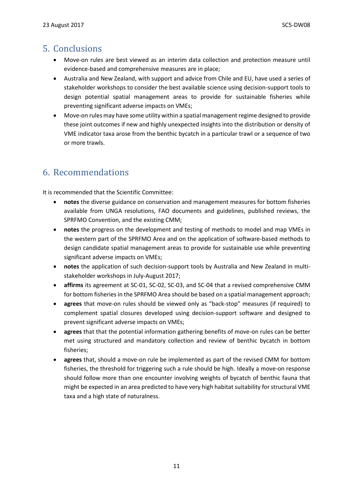### 5. Conclusions

- Move-on rules are best viewed as an interim data collection and protection measure until evidence-based and comprehensive measures are in place;
- Australia and New Zealand, with support and advice from Chile and EU, have used a series of stakeholder workshops to consider the best available science using decision-support tools to design potential spatial management areas to provide for sustainable fisheries while preventing significant adverse impacts on VMEs;
- Move-on rules may have some utility within a spatial management regime designed to provide these joint outcomes if new and highly unexpected insights into the distribution or density of VME indicator taxa arose from the benthic bycatch in a particular trawl or a sequence of two or more trawls.

## <span id="page-10-0"></span>6. Recommendations

It is recommended that the Scientific Committee:

- **notes** the diverse guidance on conservation and management measures for bottom fisheries available from UNGA resolutions, FAO documents and guidelines, published reviews, the SPRFMO Convention, and the existing CMM;
- **notes** the progress on the development and testing of methods to model and map VMEs in the western part of the SPRFMO Area and on the application of software-based methods to design candidate spatial management areas to provide for sustainable use while preventing significant adverse impacts on VMEs;
- **notes** the application of such decision-support tools by Australia and New Zealand in multistakeholder workshops in July-August 2017;
- **affirms** its agreement at SC-01, SC-02, SC-03, and SC-04 that a revised comprehensive CMM for bottom fisheries in the SPRFMO Area should be based on a spatial management approach;
- **agrees** that move-on rules should be viewed only as "back-stop" measures (if required) to complement spatial closures developed using decision-support software and designed to prevent significant adverse impacts on VMEs;
- **agrees** that that the potential information gathering benefits of move-on rules can be better met using structured and mandatory collection and review of benthic bycatch in bottom fisheries;
- <span id="page-10-1"></span>• **agrees** that, should a move-on rule be implemented as part of the revised CMM for bottom fisheries, the threshold for triggering such a rule should be high. Ideally a move-on response should follow more than one encounter involving weights of bycatch of benthic fauna that might be expected in an area predicted to have very high habitat suitability for structural VME taxa and a high state of naturalness.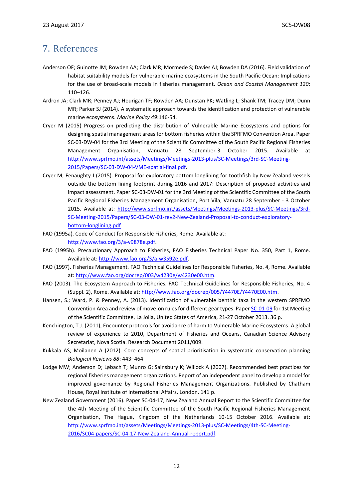### 7. References

- Anderson OF; Guinotte JM; Rowden AA; Clark MR; Mormede S; Davies AJ; Bowden DA (2016). Field validation of habitat suitability models for vulnerable marine ecosystems in the South Pacific Ocean: Implications for the use of broad-scale models in fisheries management. *Ocean and Coastal Management 120*: 110–126.
- Ardron JA; Clark MR; Penney AJ; Hourigan TF; Rowden AA; Dunstan PK; Watling L; Shank TM; Tracey DM; Dunn MR; Parker SJ (2014). A systematic approach towards the identification and protection of vulnerable marine ecosystems. *Marine Policy 49*:146-54.
- Cryer M (2015) Progress on predicting the distribution of Vulnerable Marine Ecosystems and options for designing spatial management areas for bottom fisheries within the SPRFMO Convention Area. Paper SC-03-DW-04 for the 3rd Meeting of the Scientific Committee of the South Pacific Regional Fisheries Management Organisation, Vanuatu 28 September-3 October 2015. Available at [http://www.sprfmo.int/assets/Meetings/Meetings-2013-plus/SC-Meetings/3rd-SC-Meeting-](http://www.sprfmo.int/assets/Meetings/Meetings-2013-plus/SC-Meetings/3rd-SC-Meeting-2015/Papers/SC-03-DW-04-VME-spatial-final.pdf)[2015/Papers/SC-03-DW-04-VME-spatial-final.pdf.](http://www.sprfmo.int/assets/Meetings/Meetings-2013-plus/SC-Meetings/3rd-SC-Meeting-2015/Papers/SC-03-DW-04-VME-spatial-final.pdf)
- Cryer M; Fenaughty J (2015). Proposal for exploratory bottom longlining for toothfish by New Zealand vessels outside the bottom lining footprint during 2016 and 2017: Description of proposed activities and impact assessment. Paper SC-03-DW-01 for the 3rd Meeting of the Scientific Committee of the South Pacific Regional Fisheries Management Organisation, Port Vila, Vanuatu 28 September - 3 October 2015. Available at: [http://www.sprfmo.int/assets/Meetings/Meetings-2013-plus/SC-Meetings/3rd-](http://www.sprfmo.int/assets/Meetings/Meetings-2013-plus/SC-Meetings/3rd-SC-Meeting-2015/Papers/SC-03-DW-01-rev2-New-Zealand-Proposal-to-conduct-exploratory-bottom-longlining.pdf)[SC-Meeting-2015/Papers/SC-03-DW-01-rev2-New-Zealand-Proposal-to-conduct-exploratory](http://www.sprfmo.int/assets/Meetings/Meetings-2013-plus/SC-Meetings/3rd-SC-Meeting-2015/Papers/SC-03-DW-01-rev2-New-Zealand-Proposal-to-conduct-exploratory-bottom-longlining.pdf)[bottom-longlining.pdf](http://www.sprfmo.int/assets/Meetings/Meetings-2013-plus/SC-Meetings/3rd-SC-Meeting-2015/Papers/SC-03-DW-01-rev2-New-Zealand-Proposal-to-conduct-exploratory-bottom-longlining.pdf)
- FAO (1995a). Code of Conduct for Responsible Fisheries, Rome. Available at: [http://www.fao.org/3/a-v9878e.pdf.](http://www.fao.org/3/a-v9878e.pdf)
- FAO (1995b). Precautionary Approach to Fisheries, FAO Fisheries Technical Paper No. 350, Part 1, Rome. Available at: [http://www.fao.org/3/a-w3592e.pdf.](http://www.fao.org/3/a-w3592e.pdf)
- FAO (1997). Fisheries Management. FAO Technical Guidelines for Responsible Fisheries, No. 4, Rome. Available at[: http://www.fao.org/docrep/003/w4230e/w4230e00.htm.](http://www.fao.org/docrep/003/w4230e/w4230e00.htm)
- FAO (2003). The Ecosystem Approach to Fisheries. FAO Technical Guidelines for Responsible Fisheries, No. 4 (Suppl. 2), Rome. Available at[: http://www.fao.org/docrep/005/Y4470E/Y4470E00.htm.](http://www.fao.org/docrep/005/Y4470E/Y4470E00.htm)
- Hansen, S.; Ward, P. & Penney, A. (2013). Identification of vulnerable benthic taxa in the western SPRFMO Convention Area and review of move-on rules for different gear types. Pape[r SC-01-09](http://www.sprfmo.int/assets/Meetings/Meetings-2013-plus/SC-Meetings/1st-SC-Meeting-2013/SC-01-09-Identification-of-VMEs-in-the-western-SPRFMO-Area-and-move-on-rules.pdf) for 1st Meeting of the Scientific Committee, La Jolla, United States of America, 21-27 October 2013. 36 p.
- Kenchington, T.J. (2011), Encounter protocols for avoidance of harm to Vulnerable Marine Ecosystems: A global review of experience to 2010, Department of Fisheries and Oceans, Canadian Science Advisory Secretariat, Nova Scotia. Research Document 2011/009.
- Kukkala AS; Moilanen A (2012). Core concepts of spatial prioritisation in systematic conservation planning *Biological Reviews 88*: 443–464
- Lodge MW; Anderson D; Løbach T; Munro G; Sainsbury K; Willock A (2007). Recommended best practices for regional fisheries management organizations. Report of an independent panel to develop a model for improved governance by Regional Fisheries Management Organizations. Published by Chatham House, Royal Institute of International Affairs, London. 141 p.
- New Zealand Government (2016). Paper SC-04-17, New Zealand Annual Report to the Scientific Committee for the 4th Meeting of the Scientific Committee of the South Pacific Regional Fisheries Management Organisation, The Hague, Kingdom of the Netherlands 10-15 October 2016. Available at: [http://www.sprfmo.int/assets/Meetings/Meetings-2013-plus/SC-Meetings/4th-SC-Meeting-](http://www.sprfmo.int/assets/Meetings/Meetings-2013-plus/SC-Meetings/4th-SC-Meeting-2016/SC04-papers/SC-04-17-New-Zealand-Annual-report.pdf)[2016/SC04-papers/SC-04-17-New-Zealand-Annual-report.pdf.](http://www.sprfmo.int/assets/Meetings/Meetings-2013-plus/SC-Meetings/4th-SC-Meeting-2016/SC04-papers/SC-04-17-New-Zealand-Annual-report.pdf)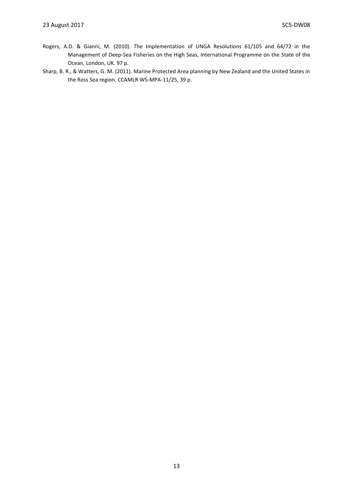- Rogers, A.D. & Gianni, M. (2010). The Implementation of UNGA Resolutions 61/105 and 64/72 in the Management of Deep-Sea Fisheries on the High Seas, International Programme on the State of the Ocean, London, UK. 97 p.
- Sharp, B. R., & Watters, G. M. (2011). Marine Protected Area planning by New Zealand and the United States in the Ross Sea region. CCAMLR WS-MPA-11/25, 39 p.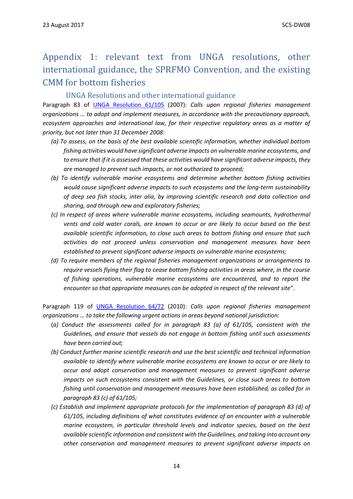# <span id="page-13-0"></span>Appendix 1: relevant text from UNGA resolutions, other international guidance, the SPRFMO Convention, and the existing CMM for bottom fisheries

#### UNGA Resolutions and other international guidance

<span id="page-13-1"></span>Paragraph 83 of [UNGA Resolution 61/105](http://www.un.org/Docs/journal/asp/ws.asp?m=A/RES/61/105) (2007): *Calls upon regional fisheries management organizations … to adopt and implement measures, in accordance with the precautionary approach, ecosystem approaches and international law, for their respective regulatory areas as a matter of priority, but not later than 31 December 2008:*

- *(a) To assess, on the basis of the best available scientific information, whether individual bottom fishing activities would have significant adverse impacts on vulnerable marine ecosystems, and to ensure that if it is assessed that these activities would have significant adverse impacts, they are managed to prevent such impacts, or not authorized to proceed;*
- *(b) To identify vulnerable marine ecosystems and determine whether bottom fishing activities would cause significant adverse impacts to such ecosystems and the long-term sustainability of deep sea fish stocks, inter alia, by improving scientific research and data collection and sharing, and through new and exploratory fisheries;*
- *(c) In respect of areas where vulnerable marine ecosystems, including seamounts, hydrothermal vents and cold water corals, are known to occur or are likely to occur based on the best available scientific information, to close such areas to bottom fishing and ensure that such activities do not proceed unless conservation and management measures have been established to prevent significant adverse impacts on vulnerable marine ecosystems;*
- *(d) To require members of the regional fisheries management organizations or arrangements to require vessels flying their flag to cease bottom fishing activities in areas where, in the course of fishing operations, vulnerable marine ecosystems are encountered, and to report the encounter so that appropriate measures can be adopted in respect of the relevant site*".

Paragraph 119 of [UNGA Resolution 64/72](http://www.un.org/Docs/journal/asp/ws.asp?m=A/RES/64/72) (2010): *Calls upon regional fisheries management organizations … to take the following urgent actions in areas beyond national jurisdiction:* 

- (*a) Conduct the assessments called for in paragraph 83 (a) of 61/105, consistent with the Guidelines, and ensure that vessels do not engage in bottom fishing until such assessments have been carried out;*
- *(b) Conduct further marine scientific research and use the best scientific and technical information available to identify where vulnerable marine ecosystems are known to occur or are likely to occur and adopt conservation and management measures to prevent significant adverse impacts on such ecosystems consistent with the Guidelines, or close such areas to bottom fishing until conservation and management measures have been established, as called for in paragraph 83 (c) of 61/105;*
- *(c) Establish and implement appropriate protocols for the implementation of paragraph 83 (d) of 61/105, including definitions of what constitutes evidence of an encounter with a vulnerable marine ecosystem, in particular threshold levels and indicator species, based on the best available scientific information and consistent with the Guidelines, and taking into account any other conservation and management measures to prevent significant adverse impacts on*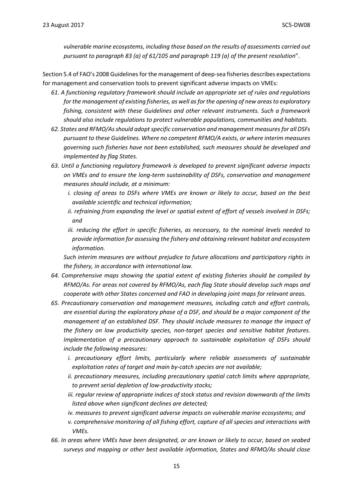*vulnerable marine ecosystems, including those based on the results of assessments carried out pursuant to paragraph 83 (a) of 61/105 and paragraph 119 (a) of the present resolution*".

Section 5.4 of FAO's 2008 Guidelines for the management of deep-sea fisheries describes expectations for management and conservation tools to prevent significant adverse impacts on VMEs:

- *61. A functioning regulatory framework should include an appropriate set of rules and regulations for the management of existing fisheries, as well as for the opening of new areas to exploratory fishing, consistent with these Guidelines and other relevant instruments. Such a framework should also include regulations to protect vulnerable populations, communities and habitats.*
- *62. States and RFMO/As should adopt specific conservation and management measures for all DSFs pursuant to these Guidelines. Where no competent RFMO/A exists, or where interim measures governing such fisheries have not been established, such measures should be developed and implemented by flag States.*
- *63. Until a functioning regulatory framework is developed to prevent significant adverse impacts on VMEs and to ensure the long-term sustainability of DSFs, conservation and management measures should include, at a minimum:*
	- *i. closing of areas to DSFs where VMEs are known or likely to occur, based on the best available scientific and technical information;*
	- *ii. refraining from expanding the level or spatial extent of effort of vessels involved in DSFs; and*
	- *iii. reducing the effort in specific fisheries, as necessary, to the nominal levels needed to provide information for assessing the fishery and obtaining relevant habitat and ecosystem information.*

*Such interim measures are without prejudice to future allocations and participatory rights in the fishery, in accordance with international law.*

- *64. Comprehensive maps showing the spatial extent of existing fisheries should be compiled by RFMO/As. For areas not covered by RFMO/As, each flag State should develop such maps and cooperate with other States concerned and FAO in developing joint maps for relevant areas.*
- *65. Precautionary conservation and management measures, including catch and effort controls, are essential during the exploratory phase of a DSF, and should be a major component of the management of an established DSF. They should include measures to manage the impact of the fishery on low productivity species, non-target species and sensitive habitat features. Implementation of a precautionary approach to sustainable exploitation of DSFs should include the following measures:*
	- *i. precautionary effort limits, particularly where reliable assessments of sustainable exploitation rates of target and main by-catch species are not available;*
	- *ii. precautionary measures, including precautionary spatial catch limits where appropriate, to prevent serial depletion of low-productivity stocks;*
	- *iii. regular review of appropriate indices of stock status and revision downwards of the limits listed above when significant declines are detected;*
	- *iv. measures to prevent significant adverse impacts on vulnerable marine ecosystems; and v. comprehensive monitoring of all fishing effort, capture of all species and interactions with VMEs.*
- *66. In areas where VMEs have been designated, or are known or likely to occur, based on seabed surveys and mapping or other best available information, States and RFMO/As should close*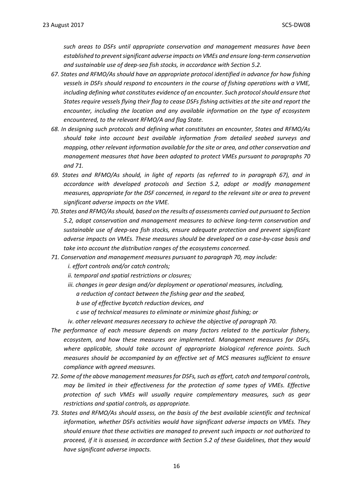*such areas to DSFs until appropriate conservation and management measures have been established to prevent significant adverse impacts on VMEs and ensure long-term conservation and sustainable use of deep-sea fish stocks, in accordance with Section 5.2.*

- *67. States and RFMO/As should have an appropriate protocol identified in advance for how fishing vessels in DSFs should respond to encounters in the course of fishing operations with a VME, including defining what constitutes evidence of an encounter. Such protocol should ensure that States require vessels flying their flag to cease DSFs fishing activities at the site and report the encounter, including the location and any available information on the type of ecosystem encountered, to the relevant RFMO/A and flag State.*
- *68. In designing such protocols and defining what constitutes an encounter, States and RFMO/As should take into account best available information from detailed seabed surveys and mapping, other relevant information available for the site or area, and other conservation and management measures that have been adopted to protect VMEs pursuant to paragraphs 70 and 71.*
- *69. States and RFMO/As should, in light of reports (as referred to in paragraph 67), and in accordance with developed protocols and Section 5.2, adopt or modify management measures, appropriate for the DSF concerned, in regard to the relevant site or area to prevent significant adverse impacts on the VME.*
- *70. States and RFMO/As should, based on the results of assessments carried out pursuant to Section 5.2, adopt conservation and management measures to achieve long-term conservation and sustainable use of deep-sea fish stocks, ensure adequate protection and prevent significant adverse impacts on VMEs. These measures should be developed on a case-by-case basis and take into account the distribution ranges of the ecosystems concerned.*
- *71. Conservation and management measures pursuant to paragraph 70, may include: i. effort controls and/or catch controls;*
	- *ii. temporal and spatial restrictions or closures;*
	- *iii. changes in gear design and/or deployment or operational measures, including, a reduction of contact between the fishing gear and the seabed,*
		- *b use of effective bycatch reduction devices, and*
		- *c use of technical measures to eliminate or minimize ghost fishing; or*
	- *iv. other relevant measures necessary to achieve the objective of paragraph 70.*
- *The performance of each measure depends on many factors related to the particular fishery, ecosystem, and how these measures are implemented. Management measures for DSFs, where applicable, should take account of appropriate biological reference points. Such measures should be accompanied by an effective set of MCS measures sufficient to ensure compliance with agreed measures.*
- *72. Some of the above management measures for DSFs, such as effort, catch and temporal controls, may be limited in their effectiveness for the protection of some types of VMEs. Effective protection of such VMEs will usually require complementary measures, such as gear restrictions and spatial controls, as appropriate.*
- *73. States and RFMO/As should assess, on the basis of the best available scientific and technical information, whether DSFs activities would have significant adverse impacts on VMEs. They should ensure that these activities are managed to prevent such impacts or not authorized to proceed, if it is assessed, in accordance with Section 5.2 of these Guidelines, that they would have significant adverse impacts.*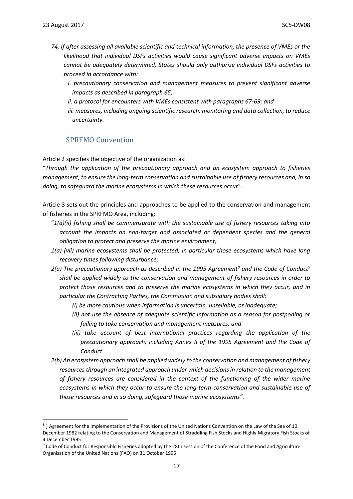1

- *74. If after assessing all available scientific and technical information, the presence of VMEs or the likelihood that individual DSFs activities would cause significant adverse impacts on VMEs cannot be adequately determined, States should only authorize individual DSFs activities to proceed in accordance with:*
	- *i. precautionary conservation and management measures to prevent significant adverse impacts as described in paragraph 65;*
	- *ii. a protocol for encounters with VMEs consistent with paragraphs 67-69; and*
	- *iii. measures, including ongoing scientific research, monitoring and data collection, to reduce uncertainty.*

#### SPRFMO Convention

<span id="page-16-0"></span>Article 2 specifies the objective of the organization as:

"*Through the application of the precautionary approach and an ecosystem approach to fisheries management, to ensure the long-term conservation and sustainable use of fishery resources and, in so doing, to safeguard the marine ecosystems in which these resources occur*".

Article 3 sets out the principles and approaches to be applied to the conservation and management of fisheries in the SPRFMO Area, including:

- "*1(a)(ii) fishing shall be commensurate with the sustainable use of fishery resources taking into account the impacts on non-target and associated or dependent species and the general obligation to protect and preserve the marine environment;*
- *1(a) (vii) marine ecosystems shall be protected, in particular those ecosystems which have long recovery times following disturbance;*
- *2(a) The precautionary approach as described in the 1995 Agreement<sup>8</sup> and the Code of Conduct<sup>9</sup> shall be applied widely to the conservation and management of fishery resources in order to protect those resources and to preserve the marine ecosystems in which they occur, and in particular the Contracting Parties, the Commission and subsidiary bodies shall:*
	- *(i) be more cautious when information is uncertain, unreliable, or inadequate;*
	- *(ii) not use the absence of adequate scientific information as a reason for postponing or failing to take conservation and management measures; and*
	- *(iii)* take account of best international practices regarding the application of the *precautionary approach, including Annex II of the 1995 Agreement and the Code of Conduct.*
- *2(b) An ecosystem approach shall be applied widely to the conservation and management of fishery resources through an integrated approach under which decisions in relation to the management of fishery resources are considered in the context of the functioning of the wider marine ecosystems in which they occur to ensure the long-term conservation and sustainable use of those resources and in so doing, safeguard those marine ecosystems".*

<sup>&</sup>lt;sup>8</sup>) Agreement for the Implementation of the Provisions of the United Nations Convention on the Law of the Sea of 10 December 1982 relating to the Conservation and Management of Straddling Fish Stocks and Highly Migratory Fish Stocks of 4 December 1995

<sup>&</sup>lt;sup>9</sup> Code of Conduct for Responsible Fisheries adopted by the 28th session of the Conference of the Food and Agriculture Organisation of the United Nations (FAO) on 31 October 1995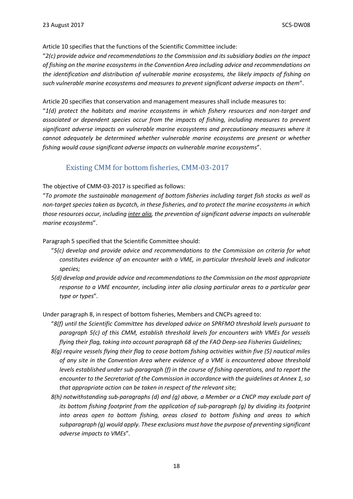Article 10 specifies that the functions of the Scientific Committee include:

"*2(c) provide advice and recommendations to the Commission and its subsidiary bodies on the impact of fishing on the marine ecosystems in the Convention Area including advice and recommendations on the identification and distribution of vulnerable marine ecosystems, the likely impacts of fishing on such vulnerable marine ecosystems and measures to prevent significant adverse impacts on them*".

Article 20 specifies that conservation and management measures shall include measures to:

"*1(d) protect the habitats and marine ecosystems in which fishery resources and non-target and associated or dependent species occur from the impacts of fishing, including measures to prevent significant adverse impacts on vulnerable marine ecosystems and precautionary measures where it cannot adequately be determined whether vulnerable marine ecosystems are present or whether fishing would cause significant adverse impacts on vulnerable marine ecosystems*".

#### Existing CMM for bottom fisheries, CMM-03-2017

#### <span id="page-17-0"></span>The objective of CMM-03-2017 is specified as follows:

"*To promote the sustainable management of bottom fisheries including target fish stocks as well as non-target species taken as bycatch, in these fisheries, and to protect the marine ecosystems in which those resources occur, including inter alia, the prevention of significant adverse impacts on vulnerable marine ecosystems*".

Paragraph 5 specified that the Scientific Committee should:

- "*5(c) develop and provide advice and recommendations to the Commission on criteria for what constitutes evidence of an encounter with a VME, in particular threshold levels and indicator species;*
- *5(d) develop and provide advice and recommendations to the Commission on the most appropriate response to a VME encounter, including inter alia closing particular areas to a particular gear type or types*"*.*

Under paragraph 8, in respect of bottom fisheries, Members and CNCPs agreed to:

- "*8(f) until the Scientific Committee has developed advice on SPRFMO threshold levels pursuant to paragraph 5(c) of this CMM, establish threshold levels for encounters with VMEs for vessels flying their flag, taking into account paragraph 68 of the FAO Deep-sea Fisheries Guidelines;*
- *8(g) require vessels flying their flag to cease bottom fishing activities within five (5) nautical miles of any site in the Convention Area where evidence of a VME is encountered above threshold levels established under sub-paragraph (f) in the course of fishing operations, and to report the encounter to the Secretariat of the Commission in accordance with the guidelines at Annex 1, so that appropriate action can be taken in respect of the relevant site;*
- *8(h) notwithstanding sub-paragraphs (d) and (g) above, a Member or a CNCP may exclude part of its bottom fishing footprint from the application of sub-paragraph (g) by dividing its footprint into areas open to bottom fishing, areas closed to bottom fishing and areas to which subparagraph (g) would apply. These exclusions must have the purpose of preventing significant adverse impacts to VMEs*"*.*